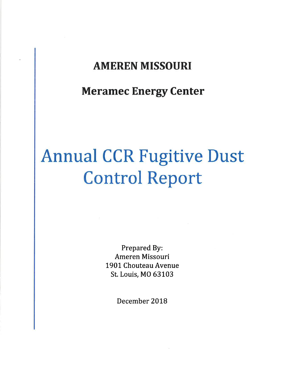# AMEREN MISSOURI

# Meramec Energy Center

# Annual CCR Fugitive Dust Control Report

Prepared By: Ameren Missouri 1901 Chouteau Avenue St. Louis, MO 63103

December 2018